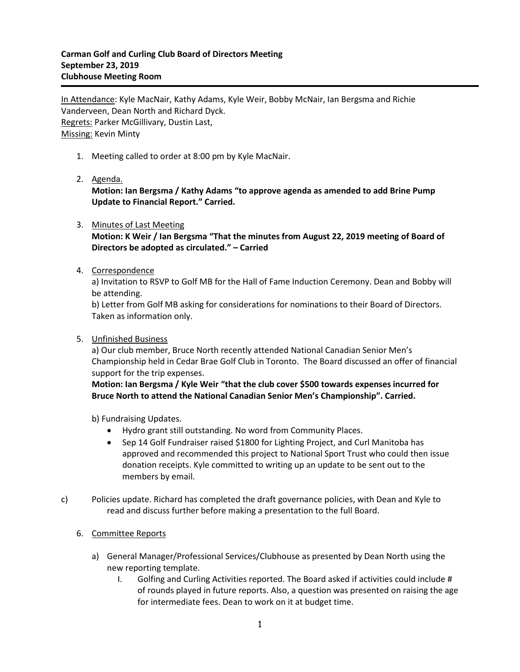In Attendance: Kyle MacNair, Kathy Adams, Kyle Weir, Bobby McNair, Ian Bergsma and Richie Vanderveen, Dean North and Richard Dyck. Regrets: Parker McGillivary, Dustin Last, Missing: Kevin Minty

- 1. Meeting called to order at 8:00 pm by Kyle MacNair.
- 2. Agenda.

**Motion: Ian Bergsma / Kathy Adams "to approve agenda as amended to add Brine Pump Update to Financial Report." Carried.**

## 3. Minutes of Last Meeting

**Motion: K Weir / Ian Bergsma "That the minutes from August 22, 2019 meeting of Board of Directors be adopted as circulated." – Carried**

## 4. Correspondence

a) Invitation to RSVP to Golf MB for the Hall of Fame Induction Ceremony. Dean and Bobby will be attending.

b) Letter from Golf MB asking for considerations for nominations to their Board of Directors. Taken as information only.

5. Unfinished Business

a) Our club member, Bruce North recently attended National Canadian Senior Men's Championship held in Cedar Brae Golf Club in Toronto. The Board discussed an offer of financial support for the trip expenses.

**Motion: Ian Bergsma / Kyle Weir "that the club cover \$500 towards expenses incurred for Bruce North to attend the National Canadian Senior Men's Championship". Carried.**

b) Fundraising Updates.

- Hydro grant still outstanding. No word from Community Places.
- Sep 14 Golf Fundraiser raised \$1800 for Lighting Project, and Curl Manitoba has approved and recommended this project to National Sport Trust who could then issue donation receipts. Kyle committed to writing up an update to be sent out to the members by email.
- c) Policies update. Richard has completed the draft governance policies, with Dean and Kyle to read and discuss further before making a presentation to the full Board.

## 6. Committee Reports

- a) General Manager/Professional Services/Clubhouse as presented by Dean North using the new reporting template.
	- I. Golfing and Curling Activities reported. The Board asked if activities could include # of rounds played in future reports. Also, a question was presented on raising the age for intermediate fees. Dean to work on it at budget time.